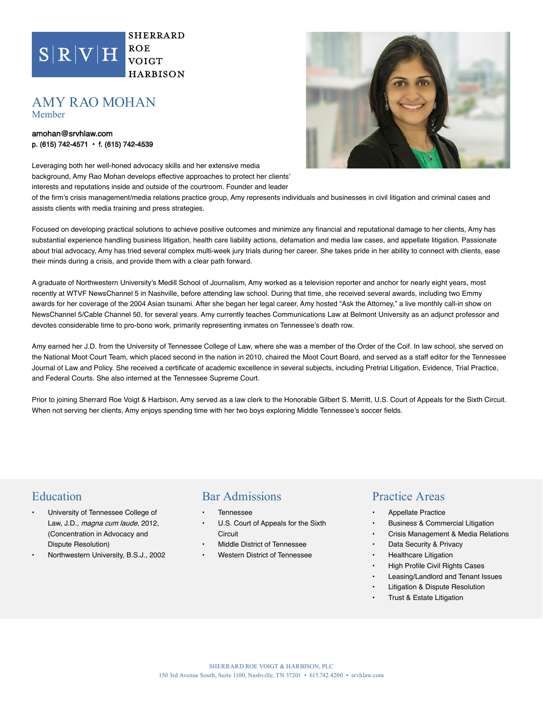

devotes considerable time to pro-bono work, primarily representing inmates on Tennessee's death row.

Amy earned her J.D. from the University of Tennessee College of Law, where she was a member of the Order of the Coif. In law school, she served on the National Moot Court Team, which placed second in the nation in 2010, chaired the Moot Court Board, and served as a staff editor for the Tennessee Journal of Law and Policy. She received a certificate of academic excellence in several subjects, including Pretrial Litigation, Evidence, Trial Practice, and Federal Courts. She also interned at the Tennessee Supreme Court.

Prior to joining Sherrard Roe Voigt & Harbison, Amy served as a law clerk to the Honorable Gilbert S. Merritt, U.S. Court of Appeals for the Sixth Circuit. When not serving her clients, Amy enjoys spending time with her two boys exploring Middle Tennessee's soccer fields.

# Education

- University of Tennessee College of Law, J.D., magna cum laude, 2012, (Concentration in Advocacy and Dispute Resolution)
- Northwestern University, B.S.J., 2002

### Bar Admissions

- **Tennessee**
- U.S. Court of Appeals for the Sixth **Circuit**
- Middle District of Tennessee
- Western District of Tennessee

#### Practice Areas

- Appellate Practice
- Business & Commercial Litigation
- Crisis Management & Media Relations
- Data Security & Privacy
- Healthcare Litigation
- High Profile Civil Rights Cases
- Leasing/Landlord and Tenant Issues
- Litigation & Dispute Resolution
- Trust & Estate Litigation